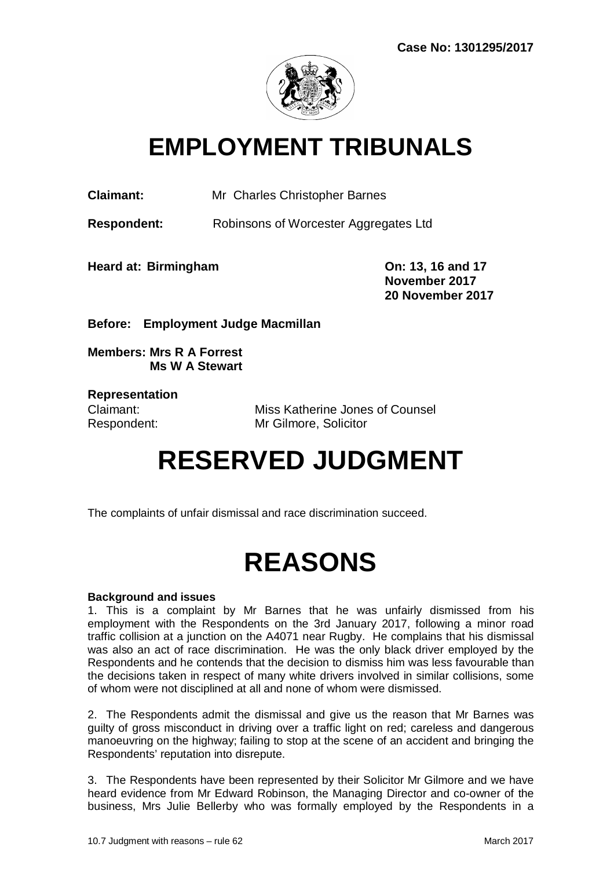

## **EMPLOYMENT TRIBUNALS**

**Claimant:** Mr Charles Christopher Barnes

**Respondent:** Robinsons of Worcester Aggregates Ltd

**Heard at: Birmingham On: 13, 16 and 17** 

**November 2017 20 November 2017**

**Before: Employment Judge Macmillan** 

**Members: Mrs R A Forrest Ms W A Stewart**

**Representation**

Claimant: Miss Katherine Jones of Counsel Respondent: Mr Gilmore, Solicitor

# **RESERVED JUDGMENT**

The complaints of unfair dismissal and race discrimination succeed.

# **REASONS**

## **Background and issues**

1. This is a complaint by Mr Barnes that he was unfairly dismissed from his employment with the Respondents on the 3rd January 2017, following a minor road traffic collision at a junction on the A4071 near Rugby. He complains that his dismissal was also an act of race discrimination. He was the only black driver employed by the Respondents and he contends that the decision to dismiss him was less favourable than the decisions taken in respect of many white drivers involved in similar collisions, some of whom were not disciplined at all and none of whom were dismissed.

2. The Respondents admit the dismissal and give us the reason that Mr Barnes was guilty of gross misconduct in driving over a traffic light on red; careless and dangerous manoeuvring on the highway; failing to stop at the scene of an accident and bringing the Respondents' reputation into disrepute.

3. The Respondents have been represented by their Solicitor Mr Gilmore and we have heard evidence from Mr Edward Robinson, the Managing Director and co-owner of the business, Mrs Julie Bellerby who was formally employed by the Respondents in a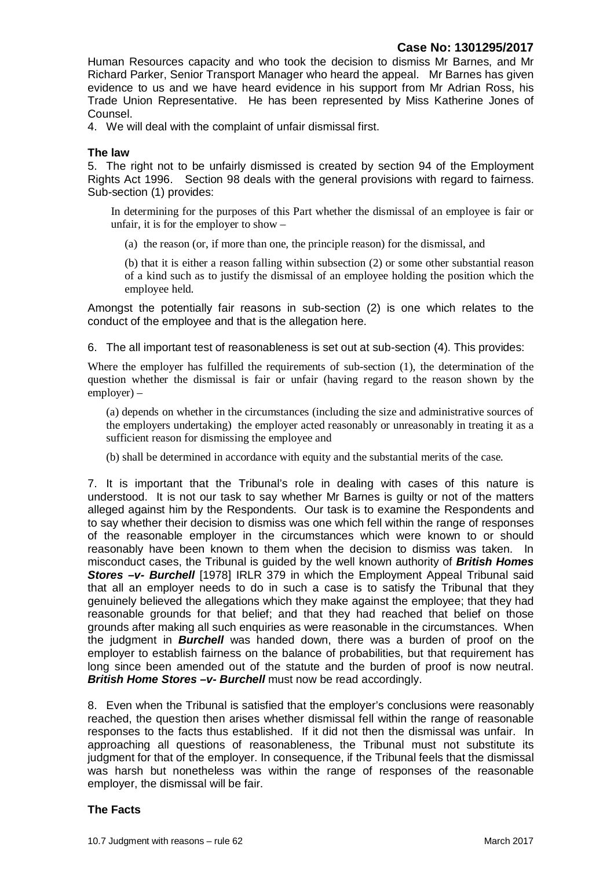Human Resources capacity and who took the decision to dismiss Mr Barnes, and Mr Richard Parker, Senior Transport Manager who heard the appeal. Mr Barnes has given evidence to us and we have heard evidence in his support from Mr Adrian Ross, his Trade Union Representative. He has been represented by Miss Katherine Jones of Counsel.

4. We will deal with the complaint of unfair dismissal first.

#### **The law**

5. The right not to be unfairly dismissed is created by section 94 of the Employment Rights Act 1996. Section 98 deals with the general provisions with regard to fairness. Sub-section (1) provides:

In determining for the purposes of this Part whether the dismissal of an employee is fair or unfair, it is for the employer to show –

(a) the reason (or, if more than one, the principle reason) for the dismissal, and

(b) that it is either a reason falling within subsection (2) or some other substantial reason of a kind such as to justify the dismissal of an employee holding the position which the employee held.

Amongst the potentially fair reasons in sub-section (2) is one which relates to the conduct of the employee and that is the allegation here.

6. The all important test of reasonableness is set out at sub-section (4). This provides:

Where the employer has fulfilled the requirements of sub-section (1), the determination of the question whether the dismissal is fair or unfair (having regard to the reason shown by the employer) –

(a) depends on whether in the circumstances (including the size and administrative sources of the employers undertaking) the employer acted reasonably or unreasonably in treating it as a sufficient reason for dismissing the employee and

(b) shall be determined in accordance with equity and the substantial merits of the case.

7. It is important that the Tribunal's role in dealing with cases of this nature is understood. It is not our task to say whether Mr Barnes is guilty or not of the matters alleged against him by the Respondents. Our task is to examine the Respondents and to say whether their decision to dismiss was one which fell within the range of responses of the reasonable employer in the circumstances which were known to or should reasonably have been known to them when the decision to dismiss was taken. In misconduct cases, the Tribunal is guided by the well known authority of *British Homes Stores –v- Burchell* [1978] IRLR 379 in which the Employment Appeal Tribunal said that all an employer needs to do in such a case is to satisfy the Tribunal that they genuinely believed the allegations which they make against the employee; that they had reasonable grounds for that belief; and that they had reached that belief on those grounds after making all such enquiries as were reasonable in the circumstances. When the judgment in *Burchell* was handed down, there was a burden of proof on the employer to establish fairness on the balance of probabilities, but that requirement has long since been amended out of the statute and the burden of proof is now neutral. *British Home Stores –v- Burchell* must now be read accordingly.

8. Even when the Tribunal is satisfied that the employer's conclusions were reasonably reached, the question then arises whether dismissal fell within the range of reasonable responses to the facts thus established. If it did not then the dismissal was unfair. In approaching all questions of reasonableness, the Tribunal must not substitute its judgment for that of the employer. In consequence, if the Tribunal feels that the dismissal was harsh but nonetheless was within the range of responses of the reasonable employer, the dismissal will be fair.

#### **The Facts**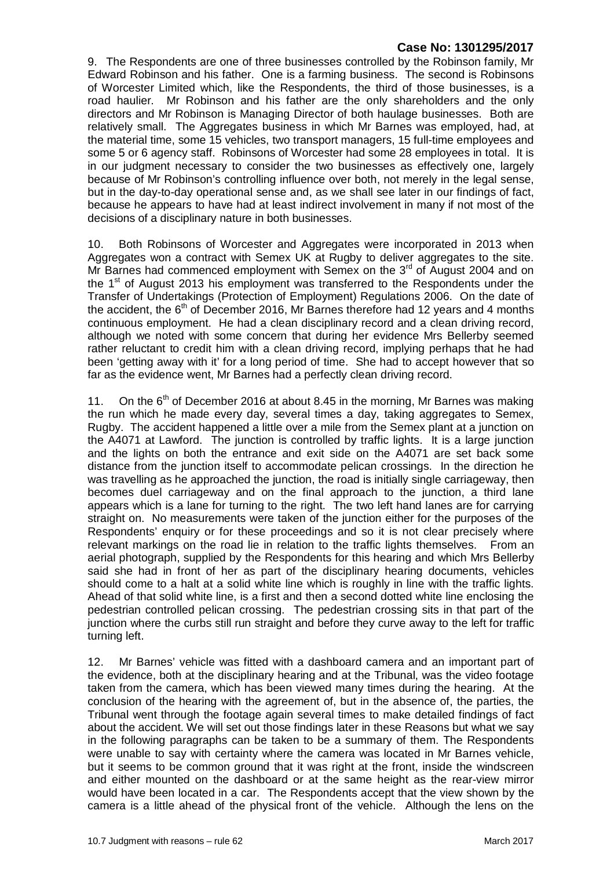9. The Respondents are one of three businesses controlled by the Robinson family, Mr Edward Robinson and his father. One is a farming business. The second is Robinsons of Worcester Limited which, like the Respondents, the third of those businesses, is a road haulier. Mr Robinson and his father are the only shareholders and the only directors and Mr Robinson is Managing Director of both haulage businesses. Both are relatively small. The Aggregates business in which Mr Barnes was employed, had, at the material time, some 15 vehicles, two transport managers, 15 full-time employees and some 5 or 6 agency staff. Robinsons of Worcester had some 28 employees in total. It is in our judgment necessary to consider the two businesses as effectively one, largely because of Mr Robinson's controlling influence over both, not merely in the legal sense, but in the day-to-day operational sense and, as we shall see later in our findings of fact, because he appears to have had at least indirect involvement in many if not most of the decisions of a disciplinary nature in both businesses.

10. Both Robinsons of Worcester and Aggregates were incorporated in 2013 when Aggregates won a contract with Semex UK at Rugby to deliver aggregates to the site. Mr Barnes had commenced employment with Semex on the  $3<sup>rd</sup>$  of August 2004 and on the 1<sup>st</sup> of August 2013 his employment was transferred to the Respondents under the Transfer of Undertakings (Protection of Employment) Regulations 2006. On the date of the accident, the  $6<sup>th</sup>$  of December 2016, Mr Barnes therefore had 12 years and 4 months continuous employment. He had a clean disciplinary record and a clean driving record, although we noted with some concern that during her evidence Mrs Bellerby seemed rather reluctant to credit him with a clean driving record, implying perhaps that he had been 'getting away with it' for a long period of time. She had to accept however that so far as the evidence went, Mr Barnes had a perfectly clean driving record.

11. On the  $6<sup>th</sup>$  of December 2016 at about 8.45 in the morning, Mr Barnes was making the run which he made every day, several times a day, taking aggregates to Semex, Rugby. The accident happened a little over a mile from the Semex plant at a junction on the A4071 at Lawford. The junction is controlled by traffic lights. It is a large junction and the lights on both the entrance and exit side on the A4071 are set back some distance from the junction itself to accommodate pelican crossings. In the direction he was travelling as he approached the junction, the road is initially single carriageway, then becomes duel carriageway and on the final approach to the junction, a third lane appears which is a lane for turning to the right. The two left hand lanes are for carrying straight on. No measurements were taken of the junction either for the purposes of the Respondents' enquiry or for these proceedings and so it is not clear precisely where relevant markings on the road lie in relation to the traffic lights themselves. From an aerial photograph, supplied by the Respondents for this hearing and which Mrs Bellerby said she had in front of her as part of the disciplinary hearing documents, vehicles should come to a halt at a solid white line which is roughly in line with the traffic lights. Ahead of that solid white line, is a first and then a second dotted white line enclosing the pedestrian controlled pelican crossing. The pedestrian crossing sits in that part of the junction where the curbs still run straight and before they curve away to the left for traffic turning left.

12. Mr Barnes' vehicle was fitted with a dashboard camera and an important part of the evidence, both at the disciplinary hearing and at the Tribunal, was the video footage taken from the camera, which has been viewed many times during the hearing. At the conclusion of the hearing with the agreement of, but in the absence of, the parties, the Tribunal went through the footage again several times to make detailed findings of fact about the accident. We will set out those findings later in these Reasons but what we say in the following paragraphs can be taken to be a summary of them. The Respondents were unable to say with certainty where the camera was located in Mr Barnes vehicle, but it seems to be common ground that it was right at the front, inside the windscreen and either mounted on the dashboard or at the same height as the rear-view mirror would have been located in a car. The Respondents accept that the view shown by the camera is a little ahead of the physical front of the vehicle. Although the lens on the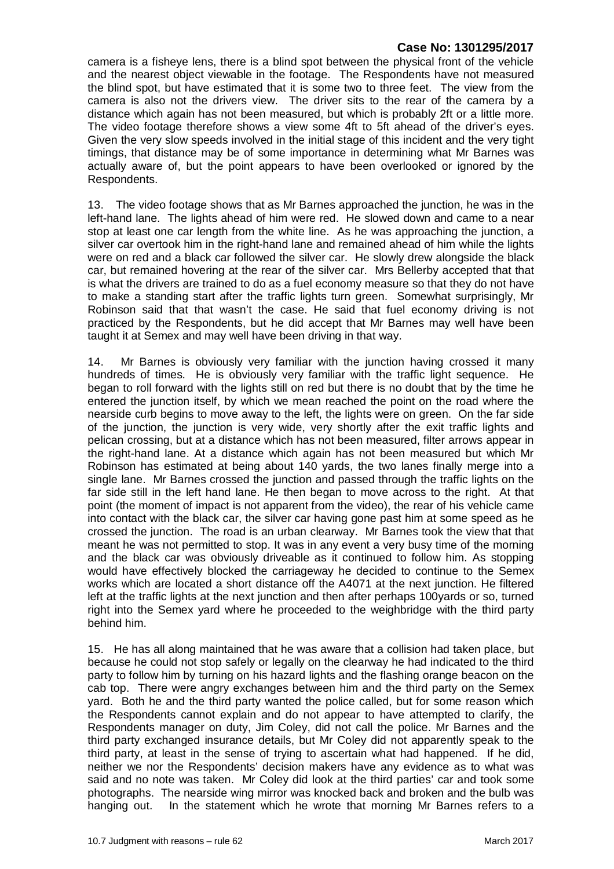camera is a fisheye lens, there is a blind spot between the physical front of the vehicle and the nearest object viewable in the footage. The Respondents have not measured the blind spot, but have estimated that it is some two to three feet. The view from the camera is also not the drivers view. The driver sits to the rear of the camera by a distance which again has not been measured, but which is probably 2ft or a little more. The video footage therefore shows a view some 4ft to 5ft ahead of the driver's eyes. Given the very slow speeds involved in the initial stage of this incident and the very tight timings, that distance may be of some importance in determining what Mr Barnes was actually aware of, but the point appears to have been overlooked or ignored by the Respondents.

13. The video footage shows that as Mr Barnes approached the junction, he was in the left-hand lane. The lights ahead of him were red. He slowed down and came to a near stop at least one car length from the white line. As he was approaching the junction, a silver car overtook him in the right-hand lane and remained ahead of him while the lights were on red and a black car followed the silver car. He slowly drew alongside the black car, but remained hovering at the rear of the silver car. Mrs Bellerby accepted that that is what the drivers are trained to do as a fuel economy measure so that they do not have to make a standing start after the traffic lights turn green. Somewhat surprisingly, Mr Robinson said that that wasn't the case. He said that fuel economy driving is not practiced by the Respondents, but he did accept that Mr Barnes may well have been taught it at Semex and may well have been driving in that way.

14. Mr Barnes is obviously very familiar with the junction having crossed it many hundreds of times. He is obviously very familiar with the traffic light sequence. He began to roll forward with the lights still on red but there is no doubt that by the time he entered the junction itself, by which we mean reached the point on the road where the nearside curb begins to move away to the left, the lights were on green. On the far side of the junction, the junction is very wide, very shortly after the exit traffic lights and pelican crossing, but at a distance which has not been measured, filter arrows appear in the right-hand lane. At a distance which again has not been measured but which Mr Robinson has estimated at being about 140 yards, the two lanes finally merge into a single lane. Mr Barnes crossed the junction and passed through the traffic lights on the far side still in the left hand lane. He then began to move across to the right. At that point (the moment of impact is not apparent from the video), the rear of his vehicle came into contact with the black car, the silver car having gone past him at some speed as he crossed the junction. The road is an urban clearway. Mr Barnes took the view that that meant he was not permitted to stop. It was in any event a very busy time of the morning and the black car was obviously driveable as it continued to follow him. As stopping would have effectively blocked the carriageway he decided to continue to the Semex works which are located a short distance off the A4071 at the next junction. He filtered left at the traffic lights at the next junction and then after perhaps 100yards or so, turned right into the Semex yard where he proceeded to the weighbridge with the third party behind him.

15. He has all along maintained that he was aware that a collision had taken place, but because he could not stop safely or legally on the clearway he had indicated to the third party to follow him by turning on his hazard lights and the flashing orange beacon on the cab top. There were angry exchanges between him and the third party on the Semex yard. Both he and the third party wanted the police called, but for some reason which the Respondents cannot explain and do not appear to have attempted to clarify, the Respondents manager on duty, Jim Coley, did not call the police. Mr Barnes and the third party exchanged insurance details, but Mr Coley did not apparently speak to the third party, at least in the sense of trying to ascertain what had happened. If he did, neither we nor the Respondents' decision makers have any evidence as to what was said and no note was taken. Mr Coley did look at the third parties' car and took some photographs. The nearside wing mirror was knocked back and broken and the bulb was hanging out. In the statement which he wrote that morning Mr Barnes refers to a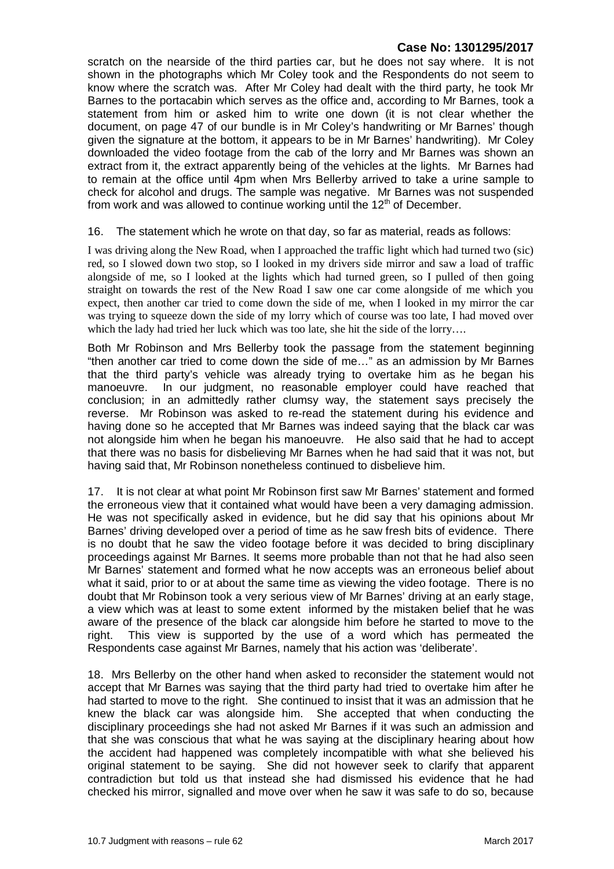scratch on the nearside of the third parties car, but he does not say where. It is not shown in the photographs which Mr Coley took and the Respondents do not seem to know where the scratch was. After Mr Coley had dealt with the third party, he took Mr Barnes to the portacabin which serves as the office and, according to Mr Barnes, took a statement from him or asked him to write one down (it is not clear whether the document, on page 47 of our bundle is in Mr Coley's handwriting or Mr Barnes' though given the signature at the bottom, it appears to be in Mr Barnes' handwriting). Mr Coley downloaded the video footage from the cab of the lorry and Mr Barnes was shown an extract from it, the extract apparently being of the vehicles at the lights. Mr Barnes had to remain at the office until 4pm when Mrs Bellerby arrived to take a urine sample to check for alcohol and drugs. The sample was negative. Mr Barnes was not suspended from work and was allowed to continue working until the  $12<sup>th</sup>$  of December.

16. The statement which he wrote on that day, so far as material, reads as follows:

I was driving along the New Road, when I approached the traffic light which had turned two (sic) red, so I slowed down two stop, so I looked in my drivers side mirror and saw a load of traffic alongside of me, so I looked at the lights which had turned green, so I pulled of then going straight on towards the rest of the New Road I saw one car come alongside of me which you expect, then another car tried to come down the side of me, when I looked in my mirror the car was trying to squeeze down the side of my lorry which of course was too late, I had moved over which the lady had tried her luck which was too late, she hit the side of the lorry....

Both Mr Robinson and Mrs Bellerby took the passage from the statement beginning "then another car tried to come down the side of me…" as an admission by Mr Barnes that the third party's vehicle was already trying to overtake him as he began his manoeuvre. In our judgment, no reasonable employer could have reached that conclusion; in an admittedly rather clumsy way, the statement says precisely the reverse. Mr Robinson was asked to re-read the statement during his evidence and having done so he accepted that Mr Barnes was indeed saying that the black car was not alongside him when he began his manoeuvre. He also said that he had to accept that there was no basis for disbelieving Mr Barnes when he had said that it was not, but having said that, Mr Robinson nonetheless continued to disbelieve him.

17. It is not clear at what point Mr Robinson first saw Mr Barnes' statement and formed the erroneous view that it contained what would have been a very damaging admission. He was not specifically asked in evidence, but he did say that his opinions about Mr Barnes' driving developed over a period of time as he saw fresh bits of evidence. There is no doubt that he saw the video footage before it was decided to bring disciplinary proceedings against Mr Barnes. It seems more probable than not that he had also seen Mr Barnes' statement and formed what he now accepts was an erroneous belief about what it said, prior to or at about the same time as viewing the video footage. There is no doubt that Mr Robinson took a very serious view of Mr Barnes' driving at an early stage, a view which was at least to some extent informed by the mistaken belief that he was aware of the presence of the black car alongside him before he started to move to the right. This view is supported by the use of a word which has permeated the Respondents case against Mr Barnes, namely that his action was 'deliberate'.

18. Mrs Bellerby on the other hand when asked to reconsider the statement would not accept that Mr Barnes was saying that the third party had tried to overtake him after he had started to move to the right. She continued to insist that it was an admission that he knew the black car was alongside him. She accepted that when conducting the disciplinary proceedings she had not asked Mr Barnes if it was such an admission and that she was conscious that what he was saying at the disciplinary hearing about how the accident had happened was completely incompatible with what she believed his original statement to be saying. She did not however seek to clarify that apparent contradiction but told us that instead she had dismissed his evidence that he had checked his mirror, signalled and move over when he saw it was safe to do so, because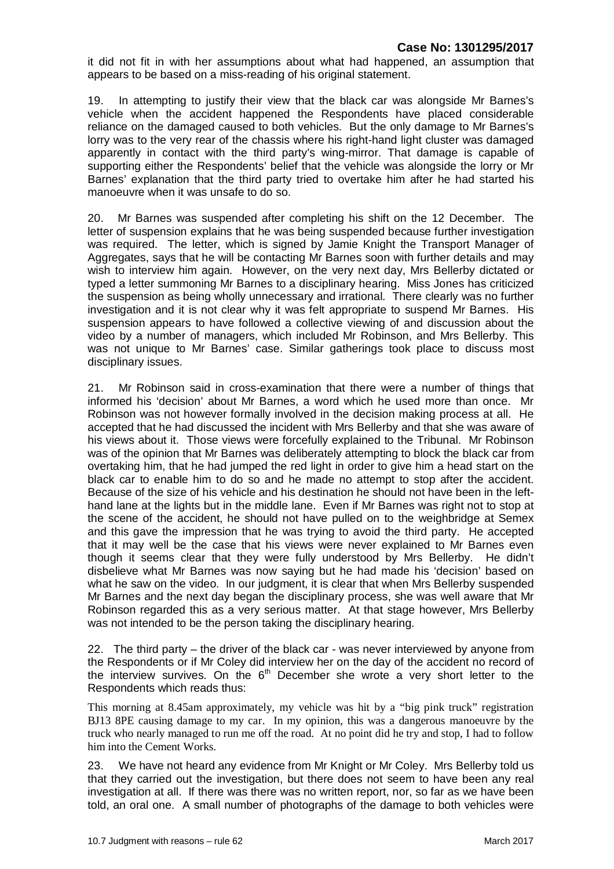it did not fit in with her assumptions about what had happened, an assumption that appears to be based on a miss-reading of his original statement.

19. In attempting to justify their view that the black car was alongside Mr Barnes's vehicle when the accident happened the Respondents have placed considerable reliance on the damaged caused to both vehicles. But the only damage to Mr Barnes's lorry was to the very rear of the chassis where his right-hand light cluster was damaged apparently in contact with the third party's wing-mirror. That damage is capable of supporting either the Respondents' belief that the vehicle was alongside the lorry or Mr Barnes' explanation that the third party tried to overtake him after he had started his manoeuvre when it was unsafe to do so.

20. Mr Barnes was suspended after completing his shift on the 12 December. The letter of suspension explains that he was being suspended because further investigation was required. The letter, which is signed by Jamie Knight the Transport Manager of Aggregates, says that he will be contacting Mr Barnes soon with further details and may wish to interview him again. However, on the very next day, Mrs Bellerby dictated or typed a letter summoning Mr Barnes to a disciplinary hearing. Miss Jones has criticized the suspension as being wholly unnecessary and irrational. There clearly was no further investigation and it is not clear why it was felt appropriate to suspend Mr Barnes. His suspension appears to have followed a collective viewing of and discussion about the video by a number of managers, which included Mr Robinson, and Mrs Bellerby. This was not unique to Mr Barnes' case. Similar gatherings took place to discuss most disciplinary issues.

21. Mr Robinson said in cross-examination that there were a number of things that informed his 'decision' about Mr Barnes, a word which he used more than once. Mr Robinson was not however formally involved in the decision making process at all. He accepted that he had discussed the incident with Mrs Bellerby and that she was aware of his views about it. Those views were forcefully explained to the Tribunal. Mr Robinson was of the opinion that Mr Barnes was deliberately attempting to block the black car from overtaking him, that he had jumped the red light in order to give him a head start on the black car to enable him to do so and he made no attempt to stop after the accident. Because of the size of his vehicle and his destination he should not have been in the lefthand lane at the lights but in the middle lane. Even if Mr Barnes was right not to stop at the scene of the accident, he should not have pulled on to the weighbridge at Semex and this gave the impression that he was trying to avoid the third party. He accepted that it may well be the case that his views were never explained to Mr Barnes even though it seems clear that they were fully understood by Mrs Bellerby. He didn't disbelieve what Mr Barnes was now saying but he had made his 'decision' based on what he saw on the video. In our judgment, it is clear that when Mrs Bellerby suspended Mr Barnes and the next day began the disciplinary process, she was well aware that Mr Robinson regarded this as a very serious matter. At that stage however, Mrs Bellerby was not intended to be the person taking the disciplinary hearing.

22. The third party – the driver of the black car - was never interviewed by anyone from the Respondents or if Mr Coley did interview her on the day of the accident no record of the interview survives. On the  $6<sup>th</sup>$  December she wrote a very short letter to the Respondents which reads thus:

This morning at 8.45am approximately, my vehicle was hit by a "big pink truck" registration BJ13 8PE causing damage to my car. In my opinion, this was a dangerous manoeuvre by the truck who nearly managed to run me off the road. At no point did he try and stop, I had to follow him into the Cement Works.

23. We have not heard any evidence from Mr Knight or Mr Coley. Mrs Bellerby told us that they carried out the investigation, but there does not seem to have been any real investigation at all. If there was there was no written report, nor, so far as we have been told, an oral one. A small number of photographs of the damage to both vehicles were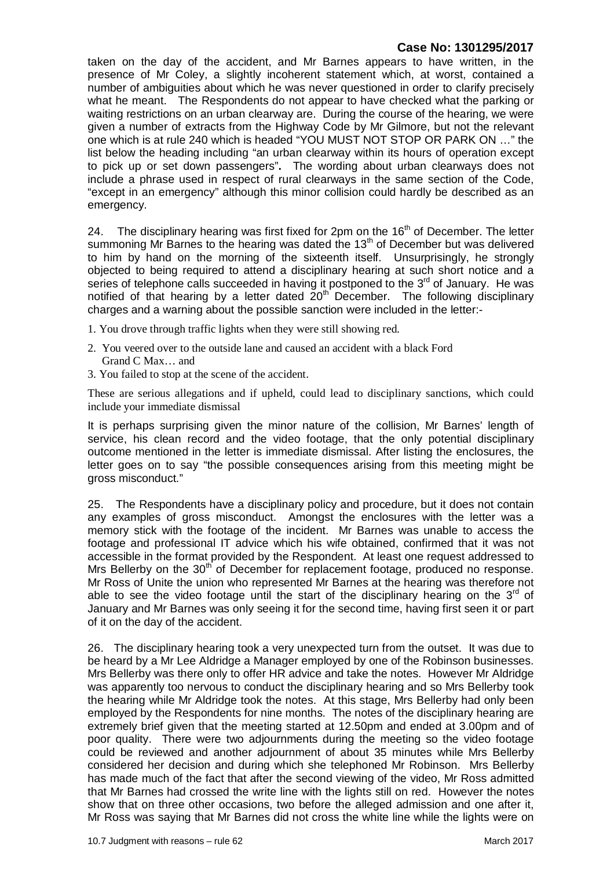taken on the day of the accident, and Mr Barnes appears to have written, in the presence of Mr Coley, a slightly incoherent statement which, at worst, contained a number of ambiguities about which he was never questioned in order to clarify precisely what he meant. The Respondents do not appear to have checked what the parking or waiting restrictions on an urban clearway are. During the course of the hearing, we were given a number of extracts from the Highway Code by Mr Gilmore, but not the relevant one which is at rule 240 which is headed "YOU MUST NOT STOP OR PARK ON …" the list below the heading including "an urban clearway within its hours of operation except to pick up or set down passengers"**.** The wording about urban clearways does not include a phrase used in respect of rural clearways in the same section of the Code, "except in an emergency" although this minor collision could hardly be described as an emergency.

24. The disciplinary hearing was first fixed for 2pm on the  $16<sup>th</sup>$  of December. The letter summoning Mr Barnes to the hearing was dated the  $13<sup>th</sup>$  of December but was delivered to him by hand on the morning of the sixteenth itself. Unsurprisingly, he strongly objected to being required to attend a disciplinary hearing at such short notice and a series of telephone calls succeeded in having it postponed to the 3<sup>rd</sup> of January. He was notified of that hearing by a letter dated  $20<sup>th</sup>$  December. The following disciplinary charges and a warning about the possible sanction were included in the letter:-

- 1. You drove through traffic lights when they were still showing red.
- 2. You veered over to the outside lane and caused an accident with a black Ford Grand C Max… and
- 3. You failed to stop at the scene of the accident.

These are serious allegations and if upheld, could lead to disciplinary sanctions, which could include your immediate dismissal

It is perhaps surprising given the minor nature of the collision, Mr Barnes' length of service, his clean record and the video footage, that the only potential disciplinary outcome mentioned in the letter is immediate dismissal. After listing the enclosures, the letter goes on to say "the possible consequences arising from this meeting might be gross misconduct."

25. The Respondents have a disciplinary policy and procedure, but it does not contain any examples of gross misconduct. Amongst the enclosures with the letter was a memory stick with the footage of the incident. Mr Barnes was unable to access the footage and professional IT advice which his wife obtained, confirmed that it was not accessible in the format provided by the Respondent. At least one request addressed to Mrs Bellerby on the  $30<sup>th</sup>$  of December for replacement footage, produced no response. Mr Ross of Unite the union who represented Mr Barnes at the hearing was therefore not able to see the video footage until the start of the disciplinary hearing on the  $3<sup>rd</sup>$  of January and Mr Barnes was only seeing it for the second time, having first seen it or part of it on the day of the accident.

26. The disciplinary hearing took a very unexpected turn from the outset. It was due to be heard by a Mr Lee Aldridge a Manager employed by one of the Robinson businesses. Mrs Bellerby was there only to offer HR advice and take the notes. However Mr Aldridge was apparently too nervous to conduct the disciplinary hearing and so Mrs Bellerby took the hearing while Mr Aldridge took the notes. At this stage, Mrs Bellerby had only been employed by the Respondents for nine months. The notes of the disciplinary hearing are extremely brief given that the meeting started at 12.50pm and ended at 3.00pm and of poor quality. There were two adjournments during the meeting so the video footage could be reviewed and another adjournment of about 35 minutes while Mrs Bellerby considered her decision and during which she telephoned Mr Robinson. Mrs Bellerby has made much of the fact that after the second viewing of the video, Mr Ross admitted that Mr Barnes had crossed the write line with the lights still on red. However the notes show that on three other occasions, two before the alleged admission and one after it, Mr Ross was saying that Mr Barnes did not cross the white line while the lights were on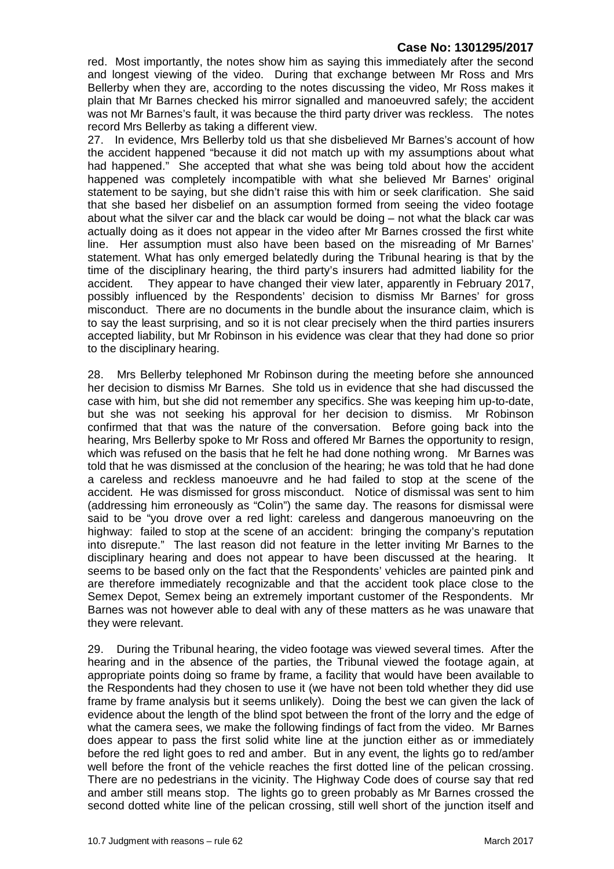red. Most importantly, the notes show him as saying this immediately after the second and longest viewing of the video. During that exchange between Mr Ross and Mrs Bellerby when they are, according to the notes discussing the video, Mr Ross makes it plain that Mr Barnes checked his mirror signalled and manoeuvred safely; the accident was not Mr Barnes's fault, it was because the third party driver was reckless. The notes record Mrs Bellerby as taking a different view.

27. In evidence, Mrs Bellerby told us that she disbelieved Mr Barnes's account of how the accident happened "because it did not match up with my assumptions about what had happened." She accepted that what she was being told about how the accident happened was completely incompatible with what she believed Mr Barnes' original statement to be saying, but she didn't raise this with him or seek clarification. She said that she based her disbelief on an assumption formed from seeing the video footage about what the silver car and the black car would be doing – not what the black car was actually doing as it does not appear in the video after Mr Barnes crossed the first white line. Her assumption must also have been based on the misreading of Mr Barnes' statement. What has only emerged belatedly during the Tribunal hearing is that by the time of the disciplinary hearing, the third party's insurers had admitted liability for the accident. They appear to have changed their view later, apparently in February 2017, possibly influenced by the Respondents' decision to dismiss Mr Barnes' for gross misconduct. There are no documents in the bundle about the insurance claim, which is to say the least surprising, and so it is not clear precisely when the third parties insurers accepted liability, but Mr Robinson in his evidence was clear that they had done so prior to the disciplinary hearing.

28. Mrs Bellerby telephoned Mr Robinson during the meeting before she announced her decision to dismiss Mr Barnes. She told us in evidence that she had discussed the case with him, but she did not remember any specifics. She was keeping him up-to-date, but she was not seeking his approval for her decision to dismiss. Mr Robinson confirmed that that was the nature of the conversation. Before going back into the hearing, Mrs Bellerby spoke to Mr Ross and offered Mr Barnes the opportunity to resign, which was refused on the basis that he felt he had done nothing wrong. Mr Barnes was told that he was dismissed at the conclusion of the hearing; he was told that he had done a careless and reckless manoeuvre and he had failed to stop at the scene of the accident. He was dismissed for gross misconduct. Notice of dismissal was sent to him (addressing him erroneously as "Colin") the same day. The reasons for dismissal were said to be "you drove over a red light: careless and dangerous manoeuvring on the highway: failed to stop at the scene of an accident: bringing the company's reputation into disrepute." The last reason did not feature in the letter inviting Mr Barnes to the disciplinary hearing and does not appear to have been discussed at the hearing. It seems to be based only on the fact that the Respondents' vehicles are painted pink and are therefore immediately recognizable and that the accident took place close to the Semex Depot, Semex being an extremely important customer of the Respondents. Mr Barnes was not however able to deal with any of these matters as he was unaware that they were relevant.

29. During the Tribunal hearing, the video footage was viewed several times. After the hearing and in the absence of the parties, the Tribunal viewed the footage again, at appropriate points doing so frame by frame, a facility that would have been available to the Respondents had they chosen to use it (we have not been told whether they did use frame by frame analysis but it seems unlikely). Doing the best we can given the lack of evidence about the length of the blind spot between the front of the lorry and the edge of what the camera sees, we make the following findings of fact from the video. Mr Barnes does appear to pass the first solid white line at the junction either as or immediately before the red light goes to red and amber. But in any event, the lights go to red/amber well before the front of the vehicle reaches the first dotted line of the pelican crossing. There are no pedestrians in the vicinity. The Highway Code does of course say that red and amber still means stop. The lights go to green probably as Mr Barnes crossed the second dotted white line of the pelican crossing, still well short of the junction itself and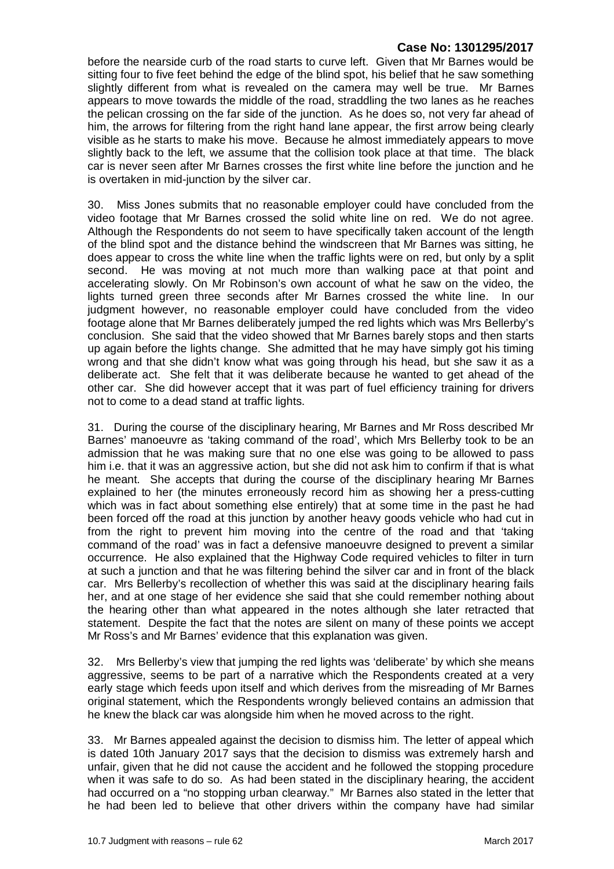before the nearside curb of the road starts to curve left. Given that Mr Barnes would be sitting four to five feet behind the edge of the blind spot, his belief that he saw something slightly different from what is revealed on the camera may well be true. Mr Barnes appears to move towards the middle of the road, straddling the two lanes as he reaches the pelican crossing on the far side of the junction. As he does so, not very far ahead of him, the arrows for filtering from the right hand lane appear, the first arrow being clearly visible as he starts to make his move. Because he almost immediately appears to move slightly back to the left, we assume that the collision took place at that time. The black car is never seen after Mr Barnes crosses the first white line before the junction and he is overtaken in mid-junction by the silver car.

30. Miss Jones submits that no reasonable employer could have concluded from the video footage that Mr Barnes crossed the solid white line on red. We do not agree. Although the Respondents do not seem to have specifically taken account of the length of the blind spot and the distance behind the windscreen that Mr Barnes was sitting, he does appear to cross the white line when the traffic lights were on red, but only by a split second. He was moving at not much more than walking pace at that point and accelerating slowly. On Mr Robinson's own account of what he saw on the video, the lights turned green three seconds after Mr Barnes crossed the white line. In our judgment however, no reasonable employer could have concluded from the video footage alone that Mr Barnes deliberately jumped the red lights which was Mrs Bellerby's conclusion. She said that the video showed that Mr Barnes barely stops and then starts up again before the lights change. She admitted that he may have simply got his timing wrong and that she didn't know what was going through his head, but she saw it as a deliberate act. She felt that it was deliberate because he wanted to get ahead of the other car. She did however accept that it was part of fuel efficiency training for drivers not to come to a dead stand at traffic lights.

31. During the course of the disciplinary hearing, Mr Barnes and Mr Ross described Mr Barnes' manoeuvre as 'taking command of the road', which Mrs Bellerby took to be an admission that he was making sure that no one else was going to be allowed to pass him i.e. that it was an aggressive action, but she did not ask him to confirm if that is what he meant. She accepts that during the course of the disciplinary hearing Mr Barnes explained to her (the minutes erroneously record him as showing her a press-cutting which was in fact about something else entirely) that at some time in the past he had been forced off the road at this junction by another heavy goods vehicle who had cut in from the right to prevent him moving into the centre of the road and that 'taking command of the road' was in fact a defensive manoeuvre designed to prevent a similar occurrence. He also explained that the Highway Code required vehicles to filter in turn at such a junction and that he was filtering behind the silver car and in front of the black car. Mrs Bellerby's recollection of whether this was said at the disciplinary hearing fails her, and at one stage of her evidence she said that she could remember nothing about the hearing other than what appeared in the notes although she later retracted that statement. Despite the fact that the notes are silent on many of these points we accept Mr Ross's and Mr Barnes' evidence that this explanation was given.

32. Mrs Bellerby's view that jumping the red lights was 'deliberate' by which she means aggressive, seems to be part of a narrative which the Respondents created at a very early stage which feeds upon itself and which derives from the misreading of Mr Barnes original statement, which the Respondents wrongly believed contains an admission that he knew the black car was alongside him when he moved across to the right.

33. Mr Barnes appealed against the decision to dismiss him. The letter of appeal which is dated 10th January 2017 says that the decision to dismiss was extremely harsh and unfair, given that he did not cause the accident and he followed the stopping procedure when it was safe to do so. As had been stated in the disciplinary hearing, the accident had occurred on a "no stopping urban clearway." Mr Barnes also stated in the letter that he had been led to believe that other drivers within the company have had similar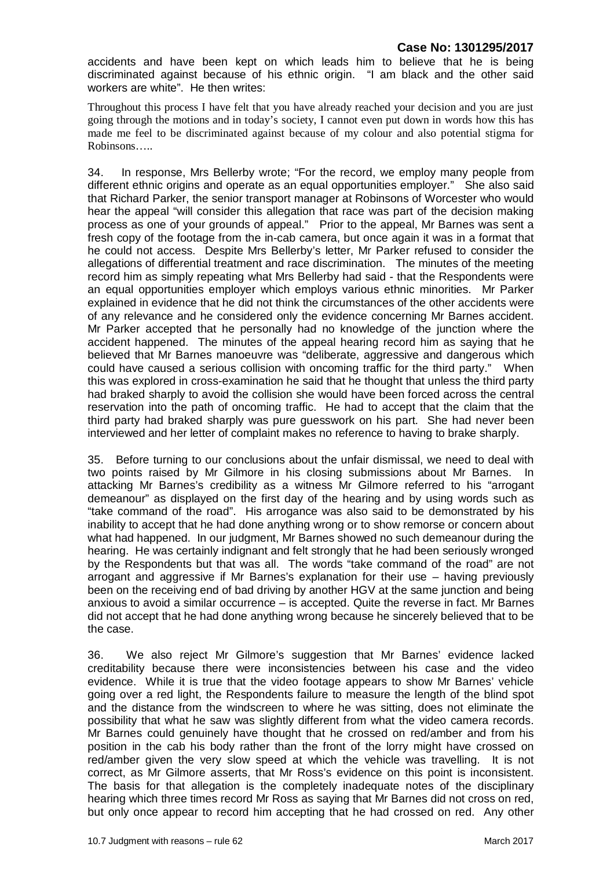accidents and have been kept on which leads him to believe that he is being discriminated against because of his ethnic origin. "I am black and the other said workers are white". He then writes:

Throughout this process I have felt that you have already reached your decision and you are just going through the motions and in today's society, I cannot even put down in words how this has made me feel to be discriminated against because of my colour and also potential stigma for Robinsons…..

34. In response, Mrs Bellerby wrote; "For the record, we employ many people from different ethnic origins and operate as an equal opportunities employer." She also said that Richard Parker, the senior transport manager at Robinsons of Worcester who would hear the appeal "will consider this allegation that race was part of the decision making process as one of your grounds of appeal." Prior to the appeal, Mr Barnes was sent a fresh copy of the footage from the in-cab camera, but once again it was in a format that he could not access. Despite Mrs Bellerby's letter, Mr Parker refused to consider the allegations of differential treatment and race discrimination. The minutes of the meeting record him as simply repeating what Mrs Bellerby had said - that the Respondents were an equal opportunities employer which employs various ethnic minorities. Mr Parker explained in evidence that he did not think the circumstances of the other accidents were of any relevance and he considered only the evidence concerning Mr Barnes accident. Mr Parker accepted that he personally had no knowledge of the junction where the accident happened. The minutes of the appeal hearing record him as saying that he believed that Mr Barnes manoeuvre was "deliberate, aggressive and dangerous which could have caused a serious collision with oncoming traffic for the third party." When this was explored in cross-examination he said that he thought that unless the third party had braked sharply to avoid the collision she would have been forced across the central reservation into the path of oncoming traffic. He had to accept that the claim that the third party had braked sharply was pure guesswork on his part. She had never been interviewed and her letter of complaint makes no reference to having to brake sharply.

35. Before turning to our conclusions about the unfair dismissal, we need to deal with two points raised by Mr Gilmore in his closing submissions about Mr Barnes. In attacking Mr Barnes's credibility as a witness Mr Gilmore referred to his "arrogant demeanour" as displayed on the first day of the hearing and by using words such as "take command of the road". His arrogance was also said to be demonstrated by his inability to accept that he had done anything wrong or to show remorse or concern about what had happened. In our judgment, Mr Barnes showed no such demeanour during the hearing. He was certainly indignant and felt strongly that he had been seriously wronged by the Respondents but that was all. The words "take command of the road" are not arrogant and aggressive if Mr Barnes's explanation for their use – having previously been on the receiving end of bad driving by another HGV at the same junction and being anxious to avoid a similar occurrence – is accepted. Quite the reverse in fact. Mr Barnes did not accept that he had done anything wrong because he sincerely believed that to be the case.

36. We also reject Mr Gilmore's suggestion that Mr Barnes' evidence lacked creditability because there were inconsistencies between his case and the video evidence. While it is true that the video footage appears to show Mr Barnes' vehicle going over a red light, the Respondents failure to measure the length of the blind spot and the distance from the windscreen to where he was sitting, does not eliminate the possibility that what he saw was slightly different from what the video camera records. Mr Barnes could genuinely have thought that he crossed on red/amber and from his position in the cab his body rather than the front of the lorry might have crossed on red/amber given the very slow speed at which the vehicle was travelling. It is not correct, as Mr Gilmore asserts, that Mr Ross's evidence on this point is inconsistent. The basis for that allegation is the completely inadequate notes of the disciplinary hearing which three times record Mr Ross as saying that Mr Barnes did not cross on red, but only once appear to record him accepting that he had crossed on red. Any other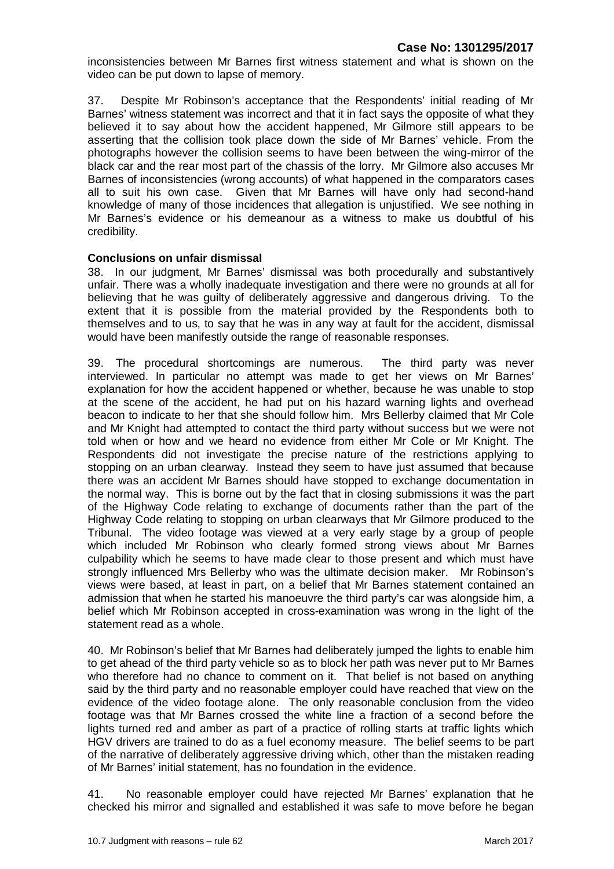inconsistencies between Mr Barnes first witness statement and what is shown on the video can be put down to lapse of memory.

37. Despite Mr Robinson's acceptance that the Respondents' initial reading of Mr Barnes' witness statement was incorrect and that it in fact says the opposite of what they believed it to say about how the accident happened, Mr Gilmore still appears to be asserting that the collision took place down the side of Mr Barnes' vehicle. From the photographs however the collision seems to have been between the wing-mirror of the black car and the rear most part of the chassis of the lorry. Mr Gilmore also accuses Mr Barnes of inconsistencies (wrong accounts) of what happened in the comparators cases all to suit his own case. Given that Mr Barnes will have only had second-hand knowledge of many of those incidences that allegation is unjustified. We see nothing in Mr Barnes's evidence or his demeanour as a witness to make us doubtful of his credibility.

#### **Conclusions on unfair dismissal**

38. In our judgment, Mr Barnes' dismissal was both procedurally and substantively unfair. There was a wholly inadequate investigation and there were no grounds at all for believing that he was guilty of deliberately aggressive and dangerous driving. To the extent that it is possible from the material provided by the Respondents both to themselves and to us, to say that he was in any way at fault for the accident, dismissal would have been manifestly outside the range of reasonable responses.

39. The procedural shortcomings are numerous. The third party was never interviewed. In particular no attempt was made to get her views on Mr Barnes' explanation for how the accident happened or whether, because he was unable to stop at the scene of the accident, he had put on his hazard warning lights and overhead beacon to indicate to her that she should follow him. Mrs Bellerby claimed that Mr Cole and Mr Knight had attempted to contact the third party without success but we were not told when or how and we heard no evidence from either Mr Cole or Mr Knight. The Respondents did not investigate the precise nature of the restrictions applying to stopping on an urban clearway. Instead they seem to have just assumed that because there was an accident Mr Barnes should have stopped to exchange documentation in the normal way. This is borne out by the fact that in closing submissions it was the part of the Highway Code relating to exchange of documents rather than the part of the Highway Code relating to stopping on urban clearways that Mr Gilmore produced to the Tribunal. The video footage was viewed at a very early stage by a group of people which included Mr Robinson who clearly formed strong views about Mr Barnes culpability which he seems to have made clear to those present and which must have strongly influenced Mrs Bellerby who was the ultimate decision maker. Mr Robinson's views were based, at least in part, on a belief that Mr Barnes statement contained an admission that when he started his manoeuvre the third party's car was alongside him, a belief which Mr Robinson accepted in cross-examination was wrong in the light of the statement read as a whole.

40. Mr Robinson's belief that Mr Barnes had deliberately jumped the lights to enable him to get ahead of the third party vehicle so as to block her path was never put to Mr Barnes who therefore had no chance to comment on it. That belief is not based on anything said by the third party and no reasonable employer could have reached that view on the evidence of the video footage alone. The only reasonable conclusion from the video footage was that Mr Barnes crossed the white line a fraction of a second before the lights turned red and amber as part of a practice of rolling starts at traffic lights which HGV drivers are trained to do as a fuel economy measure. The belief seems to be part of the narrative of deliberately aggressive driving which, other than the mistaken reading of Mr Barnes' initial statement, has no foundation in the evidence.

41. No reasonable employer could have rejected Mr Barnes' explanation that he checked his mirror and signalled and established it was safe to move before he began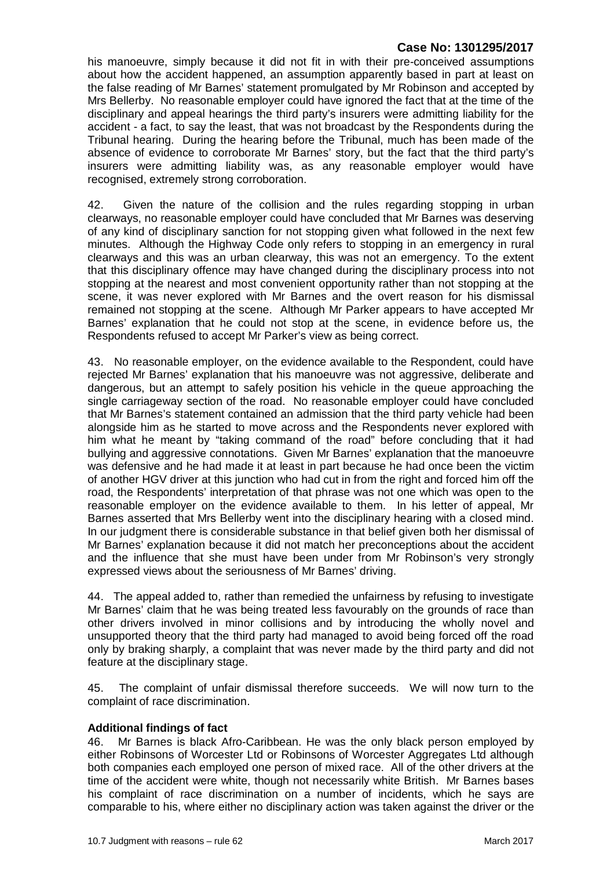his manoeuvre, simply because it did not fit in with their pre-conceived assumptions about how the accident happened, an assumption apparently based in part at least on the false reading of Mr Barnes' statement promulgated by Mr Robinson and accepted by Mrs Bellerby. No reasonable employer could have ignored the fact that at the time of the disciplinary and appeal hearings the third party's insurers were admitting liability for the accident - a fact, to say the least, that was not broadcast by the Respondents during the Tribunal hearing. During the hearing before the Tribunal, much has been made of the absence of evidence to corroborate Mr Barnes' story, but the fact that the third party's insurers were admitting liability was, as any reasonable employer would have recognised, extremely strong corroboration.

42. Given the nature of the collision and the rules regarding stopping in urban clearways, no reasonable employer could have concluded that Mr Barnes was deserving of any kind of disciplinary sanction for not stopping given what followed in the next few minutes. Although the Highway Code only refers to stopping in an emergency in rural clearways and this was an urban clearway, this was not an emergency. To the extent that this disciplinary offence may have changed during the disciplinary process into not stopping at the nearest and most convenient opportunity rather than not stopping at the scene, it was never explored with Mr Barnes and the overt reason for his dismissal remained not stopping at the scene. Although Mr Parker appears to have accepted Mr Barnes' explanation that he could not stop at the scene, in evidence before us, the Respondents refused to accept Mr Parker's view as being correct.

43. No reasonable employer, on the evidence available to the Respondent, could have rejected Mr Barnes' explanation that his manoeuvre was not aggressive, deliberate and dangerous, but an attempt to safely position his vehicle in the queue approaching the single carriageway section of the road. No reasonable employer could have concluded that Mr Barnes's statement contained an admission that the third party vehicle had been alongside him as he started to move across and the Respondents never explored with him what he meant by "taking command of the road" before concluding that it had bullying and aggressive connotations. Given Mr Barnes' explanation that the manoeuvre was defensive and he had made it at least in part because he had once been the victim of another HGV driver at this junction who had cut in from the right and forced him off the road, the Respondents' interpretation of that phrase was not one which was open to the reasonable employer on the evidence available to them. In his letter of appeal, Mr Barnes asserted that Mrs Bellerby went into the disciplinary hearing with a closed mind. In our judgment there is considerable substance in that belief given both her dismissal of Mr Barnes' explanation because it did not match her preconceptions about the accident and the influence that she must have been under from Mr Robinson's very strongly expressed views about the seriousness of Mr Barnes' driving.

44. The appeal added to, rather than remedied the unfairness by refusing to investigate Mr Barnes' claim that he was being treated less favourably on the grounds of race than other drivers involved in minor collisions and by introducing the wholly novel and unsupported theory that the third party had managed to avoid being forced off the road only by braking sharply, a complaint that was never made by the third party and did not feature at the disciplinary stage.

45. The complaint of unfair dismissal therefore succeeds. We will now turn to the complaint of race discrimination.

#### **Additional findings of fact**

46. Mr Barnes is black Afro-Caribbean. He was the only black person employed by either Robinsons of Worcester Ltd or Robinsons of Worcester Aggregates Ltd although both companies each employed one person of mixed race. All of the other drivers at the time of the accident were white, though not necessarily white British. Mr Barnes bases his complaint of race discrimination on a number of incidents, which he says are comparable to his, where either no disciplinary action was taken against the driver or the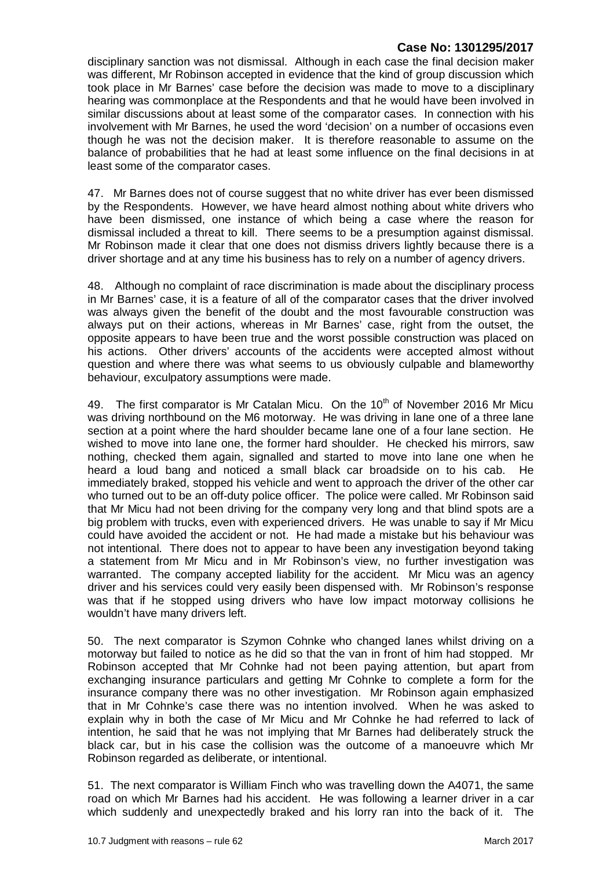disciplinary sanction was not dismissal. Although in each case the final decision maker was different, Mr Robinson accepted in evidence that the kind of group discussion which took place in Mr Barnes' case before the decision was made to move to a disciplinary hearing was commonplace at the Respondents and that he would have been involved in similar discussions about at least some of the comparator cases. In connection with his involvement with Mr Barnes, he used the word 'decision' on a number of occasions even though he was not the decision maker. It is therefore reasonable to assume on the balance of probabilities that he had at least some influence on the final decisions in at least some of the comparator cases.

47. Mr Barnes does not of course suggest that no white driver has ever been dismissed by the Respondents. However, we have heard almost nothing about white drivers who have been dismissed, one instance of which being a case where the reason for dismissal included a threat to kill. There seems to be a presumption against dismissal. Mr Robinson made it clear that one does not dismiss drivers lightly because there is a driver shortage and at any time his business has to rely on a number of agency drivers.

48. Although no complaint of race discrimination is made about the disciplinary process in Mr Barnes' case, it is a feature of all of the comparator cases that the driver involved was always given the benefit of the doubt and the most favourable construction was always put on their actions, whereas in Mr Barnes' case, right from the outset, the opposite appears to have been true and the worst possible construction was placed on his actions. Other drivers' accounts of the accidents were accepted almost without question and where there was what seems to us obviously culpable and blameworthy behaviour, exculpatory assumptions were made.

49. The first comparator is Mr Catalan Micu. On the  $10<sup>th</sup>$  of November 2016 Mr Micu was driving northbound on the M6 motorway. He was driving in lane one of a three lane section at a point where the hard shoulder became lane one of a four lane section. He wished to move into lane one, the former hard shoulder. He checked his mirrors, saw nothing, checked them again, signalled and started to move into lane one when he heard a loud bang and noticed a small black car broadside on to his cab. He immediately braked, stopped his vehicle and went to approach the driver of the other car who turned out to be an off-duty police officer. The police were called. Mr Robinson said that Mr Micu had not been driving for the company very long and that blind spots are a big problem with trucks, even with experienced drivers. He was unable to say if Mr Micu could have avoided the accident or not. He had made a mistake but his behaviour was not intentional. There does not to appear to have been any investigation beyond taking a statement from Mr Micu and in Mr Robinson's view, no further investigation was warranted. The company accepted liability for the accident. Mr Micu was an agency driver and his services could very easily been dispensed with. Mr Robinson's response was that if he stopped using drivers who have low impact motorway collisions he wouldn't have many drivers left.

50. The next comparator is Szymon Cohnke who changed lanes whilst driving on a motorway but failed to notice as he did so that the van in front of him had stopped. Mr Robinson accepted that Mr Cohnke had not been paying attention, but apart from exchanging insurance particulars and getting Mr Cohnke to complete a form for the insurance company there was no other investigation. Mr Robinson again emphasized that in Mr Cohnke's case there was no intention involved. When he was asked to explain why in both the case of Mr Micu and Mr Cohnke he had referred to lack of intention, he said that he was not implying that Mr Barnes had deliberately struck the black car, but in his case the collision was the outcome of a manoeuvre which Mr Robinson regarded as deliberate, or intentional.

51. The next comparator is William Finch who was travelling down the A4071, the same road on which Mr Barnes had his accident. He was following a learner driver in a car which suddenly and unexpectedly braked and his lorry ran into the back of it. The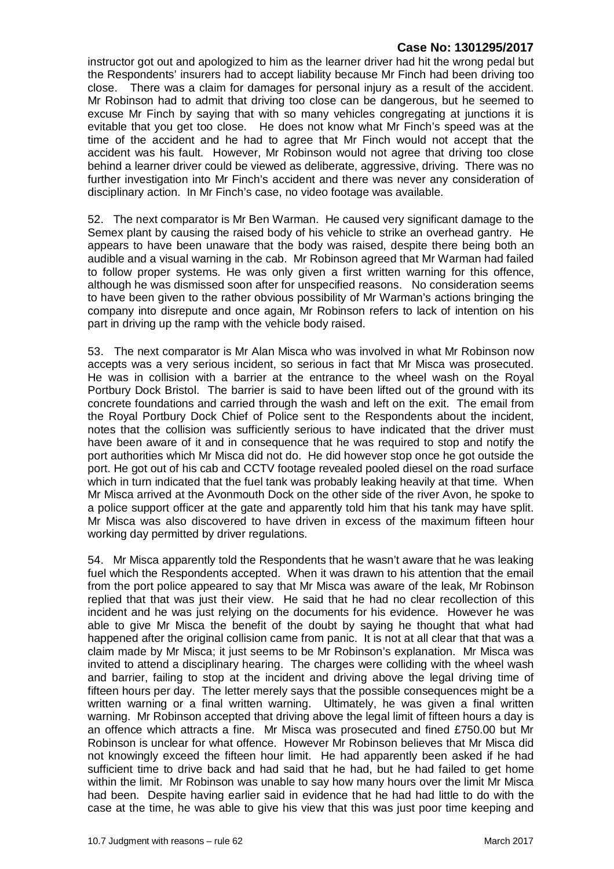instructor got out and apologized to him as the learner driver had hit the wrong pedal but the Respondents' insurers had to accept liability because Mr Finch had been driving too close. There was a claim for damages for personal injury as a result of the accident. Mr Robinson had to admit that driving too close can be dangerous, but he seemed to excuse Mr Finch by saying that with so many vehicles congregating at junctions it is evitable that you get too close. He does not know what Mr Finch's speed was at the time of the accident and he had to agree that Mr Finch would not accept that the accident was his fault. However, Mr Robinson would not agree that driving too close behind a learner driver could be viewed as deliberate, aggressive, driving. There was no further investigation into Mr Finch's accident and there was never any consideration of disciplinary action. In Mr Finch's case, no video footage was available.

52. The next comparator is Mr Ben Warman. He caused very significant damage to the Semex plant by causing the raised body of his vehicle to strike an overhead gantry. He appears to have been unaware that the body was raised, despite there being both an audible and a visual warning in the cab. Mr Robinson agreed that Mr Warman had failed to follow proper systems. He was only given a first written warning for this offence, although he was dismissed soon after for unspecified reasons. No consideration seems to have been given to the rather obvious possibility of Mr Warman's actions bringing the company into disrepute and once again, Mr Robinson refers to lack of intention on his part in driving up the ramp with the vehicle body raised.

53. The next comparator is Mr Alan Misca who was involved in what Mr Robinson now accepts was a very serious incident, so serious in fact that Mr Misca was prosecuted. He was in collision with a barrier at the entrance to the wheel wash on the Royal Portbury Dock Bristol. The barrier is said to have been lifted out of the ground with its concrete foundations and carried through the wash and left on the exit. The email from the Royal Portbury Dock Chief of Police sent to the Respondents about the incident, notes that the collision was sufficiently serious to have indicated that the driver must have been aware of it and in consequence that he was required to stop and notify the port authorities which Mr Misca did not do. He did however stop once he got outside the port. He got out of his cab and CCTV footage revealed pooled diesel on the road surface which in turn indicated that the fuel tank was probably leaking heavily at that time. When Mr Misca arrived at the Avonmouth Dock on the other side of the river Avon, he spoke to a police support officer at the gate and apparently told him that his tank may have split. Mr Misca was also discovered to have driven in excess of the maximum fifteen hour working day permitted by driver regulations.

54. Mr Misca apparently told the Respondents that he wasn't aware that he was leaking fuel which the Respondents accepted. When it was drawn to his attention that the email from the port police appeared to say that Mr Misca was aware of the leak, Mr Robinson replied that that was just their view. He said that he had no clear recollection of this incident and he was just relying on the documents for his evidence. However he was able to give Mr Misca the benefit of the doubt by saying he thought that what had happened after the original collision came from panic. It is not at all clear that that was a claim made by Mr Misca; it just seems to be Mr Robinson's explanation. Mr Misca was invited to attend a disciplinary hearing. The charges were colliding with the wheel wash and barrier, failing to stop at the incident and driving above the legal driving time of fifteen hours per day. The letter merely says that the possible consequences might be a written warning or a final written warning. Ultimately, he was given a final written warning. Mr Robinson accepted that driving above the legal limit of fifteen hours a day is an offence which attracts a fine. Mr Misca was prosecuted and fined £750.00 but Mr Robinson is unclear for what offence. However Mr Robinson believes that Mr Misca did not knowingly exceed the fifteen hour limit. He had apparently been asked if he had sufficient time to drive back and had said that he had, but he had failed to get home within the limit. Mr Robinson was unable to say how many hours over the limit Mr Misca had been. Despite having earlier said in evidence that he had had little to do with the case at the time, he was able to give his view that this was just poor time keeping and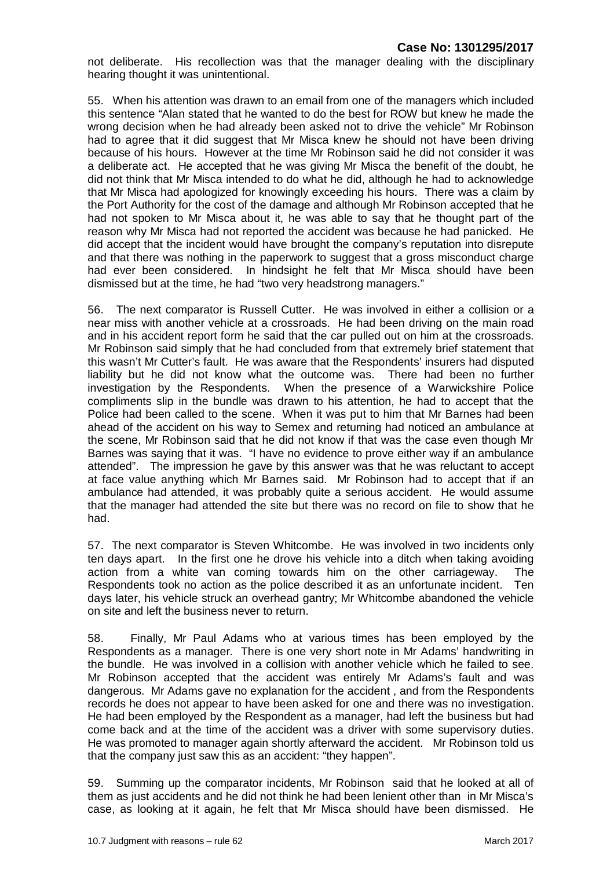not deliberate. His recollection was that the manager dealing with the disciplinary hearing thought it was unintentional.

55. When his attention was drawn to an email from one of the managers which included this sentence "Alan stated that he wanted to do the best for ROW but knew he made the wrong decision when he had already been asked not to drive the vehicle" Mr Robinson had to agree that it did suggest that Mr Misca knew he should not have been driving because of his hours. However at the time Mr Robinson said he did not consider it was a deliberate act. He accepted that he was giving Mr Misca the benefit of the doubt, he did not think that Mr Misca intended to do what he did, although he had to acknowledge that Mr Misca had apologized for knowingly exceeding his hours. There was a claim by the Port Authority for the cost of the damage and although Mr Robinson accepted that he had not spoken to Mr Misca about it, he was able to say that he thought part of the reason why Mr Misca had not reported the accident was because he had panicked. He did accept that the incident would have brought the company's reputation into disrepute and that there was nothing in the paperwork to suggest that a gross misconduct charge had ever been considered. In hindsight he felt that Mr Misca should have been dismissed but at the time, he had "two very headstrong managers."

56. The next comparator is Russell Cutter. He was involved in either a collision or a near miss with another vehicle at a crossroads. He had been driving on the main road and in his accident report form he said that the car pulled out on him at the crossroads. Mr Robinson said simply that he had concluded from that extremely brief statement that this wasn't Mr Cutter's fault. He was aware that the Respondents' insurers had disputed liability but he did not know what the outcome was. There had been no further investigation by the Respondents. When the presence of a Warwickshire Police compliments slip in the bundle was drawn to his attention, he had to accept that the Police had been called to the scene. When it was put to him that Mr Barnes had been ahead of the accident on his way to Semex and returning had noticed an ambulance at the scene, Mr Robinson said that he did not know if that was the case even though Mr Barnes was saying that it was. "I have no evidence to prove either way if an ambulance attended". The impression he gave by this answer was that he was reluctant to accept at face value anything which Mr Barnes said. Mr Robinson had to accept that if an ambulance had attended, it was probably quite a serious accident. He would assume that the manager had attended the site but there was no record on file to show that he had.

57. The next comparator is Steven Whitcombe. He was involved in two incidents only ten days apart. In the first one he drove his vehicle into a ditch when taking avoiding action from a white van coming towards him on the other carriageway. The Respondents took no action as the police described it as an unfortunate incident. Ten days later, his vehicle struck an overhead gantry; Mr Whitcombe abandoned the vehicle on site and left the business never to return.

58. Finally, Mr Paul Adams who at various times has been employed by the Respondents as a manager. There is one very short note in Mr Adams' handwriting in the bundle. He was involved in a collision with another vehicle which he failed to see. Mr Robinson accepted that the accident was entirely Mr Adams's fault and was dangerous. Mr Adams gave no explanation for the accident , and from the Respondents records he does not appear to have been asked for one and there was no investigation. He had been employed by the Respondent as a manager, had left the business but had come back and at the time of the accident was a driver with some supervisory duties. He was promoted to manager again shortly afterward the accident. Mr Robinson told us that the company just saw this as an accident: "they happen".

59. Summing up the comparator incidents, Mr Robinson said that he looked at all of them as just accidents and he did not think he had been lenient other than in Mr Misca's case, as looking at it again, he felt that Mr Misca should have been dismissed. He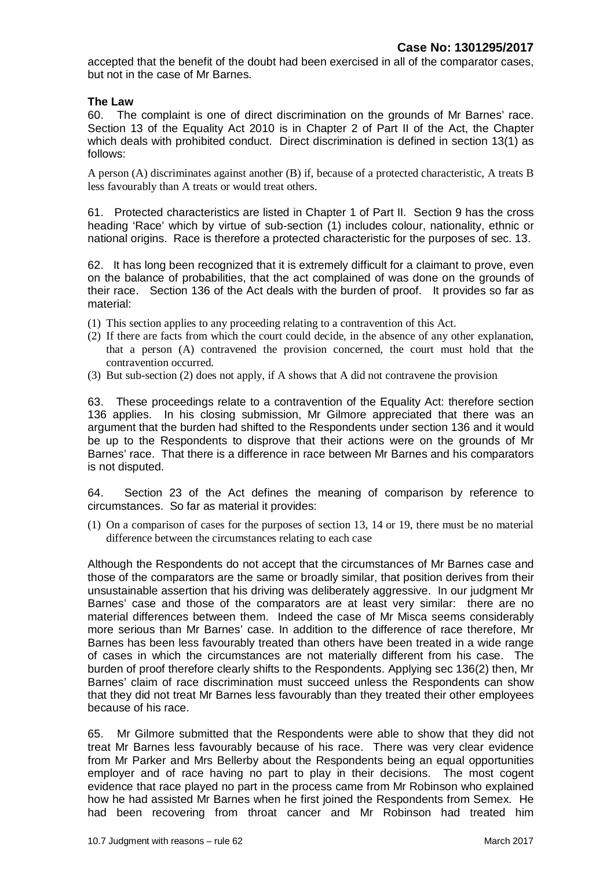accepted that the benefit of the doubt had been exercised in all of the comparator cases, but not in the case of Mr Barnes.

#### **The Law**

60. The complaint is one of direct discrimination on the grounds of Mr Barnes' race. Section 13 of the Equality Act 2010 is in Chapter 2 of Part II of the Act, the Chapter which deals with prohibited conduct. Direct discrimination is defined in section 13(1) as follows:

A person (A) discriminates against another (B) if, because of a protected characteristic, A treats B less favourably than A treats or would treat others.

61. Protected characteristics are listed in Chapter 1 of Part II. Section 9 has the cross heading 'Race' which by virtue of sub-section (1) includes colour, nationality, ethnic or national origins. Race is therefore a protected characteristic for the purposes of sec. 13.

62. It has long been recognized that it is extremely difficult for a claimant to prove, even on the balance of probabilities, that the act complained of was done on the grounds of their race. Section 136 of the Act deals with the burden of proof. It provides so far as material:

- (1) This section applies to any proceeding relating to a contravention of this Act.
- (2) If there are facts from which the court could decide, in the absence of any other explanation, that a person (A) contravened the provision concerned, the court must hold that the contravention occurred.
- (3) But sub-section (2) does not apply, if A shows that A did not contravene the provision

63. These proceedings relate to a contravention of the Equality Act: therefore section 136 applies. In his closing submission, Mr Gilmore appreciated that there was an argument that the burden had shifted to the Respondents under section 136 and it would be up to the Respondents to disprove that their actions were on the grounds of Mr Barnes' race. That there is a difference in race between Mr Barnes and his comparators is not disputed.

64. Section 23 of the Act defines the meaning of comparison by reference to circumstances. So far as material it provides:

(1) On a comparison of cases for the purposes of section 13, 14 or 19, there must be no material difference between the circumstances relating to each case

Although the Respondents do not accept that the circumstances of Mr Barnes case and those of the comparators are the same or broadly similar, that position derives from their unsustainable assertion that his driving was deliberately aggressive. In our judgment Mr Barnes' case and those of the comparators are at least very similar: there are no material differences between them. Indeed the case of Mr Misca seems considerably more serious than Mr Barnes' case. In addition to the difference of race therefore, Mr Barnes has been less favourably treated than others have been treated in a wide range of cases in which the circumstances are not materially different from his case. The burden of proof therefore clearly shifts to the Respondents. Applying sec 136(2) then, Mr Barnes' claim of race discrimination must succeed unless the Respondents can show that they did not treat Mr Barnes less favourably than they treated their other employees because of his race.

65. Mr Gilmore submitted that the Respondents were able to show that they did not treat Mr Barnes less favourably because of his race. There was very clear evidence from Mr Parker and Mrs Bellerby about the Respondents being an equal opportunities employer and of race having no part to play in their decisions. The most cogent evidence that race played no part in the process came from Mr Robinson who explained how he had assisted Mr Barnes when he first joined the Respondents from Semex. He had been recovering from throat cancer and Mr Robinson had treated him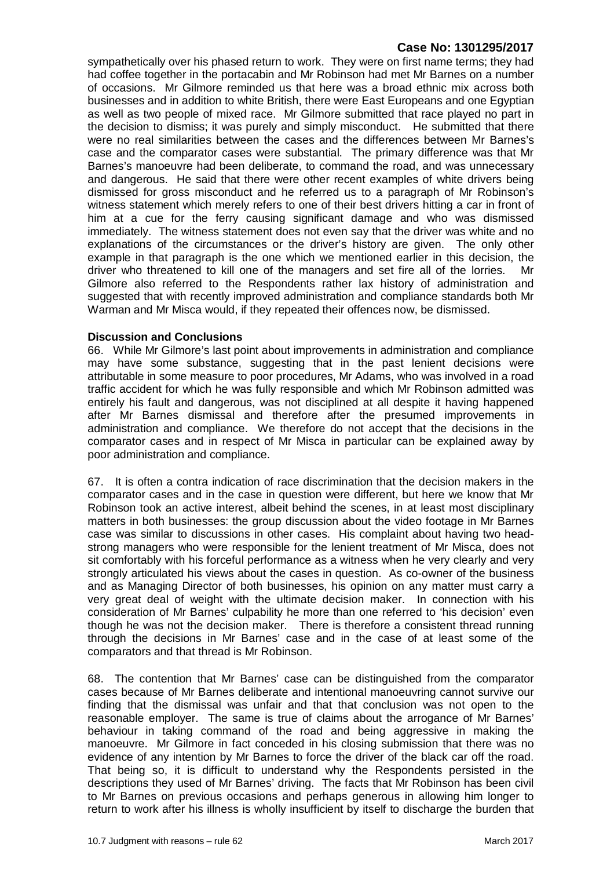sympathetically over his phased return to work. They were on first name terms; they had had coffee together in the portacabin and Mr Robinson had met Mr Barnes on a number of occasions. Mr Gilmore reminded us that here was a broad ethnic mix across both businesses and in addition to white British, there were East Europeans and one Egyptian as well as two people of mixed race. Mr Gilmore submitted that race played no part in the decision to dismiss; it was purely and simply misconduct. He submitted that there were no real similarities between the cases and the differences between Mr Barnes's case and the comparator cases were substantial. The primary difference was that Mr Barnes's manoeuvre had been deliberate, to command the road, and was unnecessary and dangerous. He said that there were other recent examples of white drivers being dismissed for gross misconduct and he referred us to a paragraph of Mr Robinson's witness statement which merely refers to one of their best drivers hitting a car in front of him at a cue for the ferry causing significant damage and who was dismissed immediately. The witness statement does not even say that the driver was white and no explanations of the circumstances or the driver's history are given. The only other example in that paragraph is the one which we mentioned earlier in this decision, the driver who threatened to kill one of the managers and set fire all of the lorries. Mr Gilmore also referred to the Respondents rather lax history of administration and suggested that with recently improved administration and compliance standards both Mr Warman and Mr Misca would, if they repeated their offences now, be dismissed.

#### **Discussion and Conclusions**

66. While Mr Gilmore's last point about improvements in administration and compliance may have some substance, suggesting that in the past lenient decisions were attributable in some measure to poor procedures, Mr Adams, who was involved in a road traffic accident for which he was fully responsible and which Mr Robinson admitted was entirely his fault and dangerous, was not disciplined at all despite it having happened after Mr Barnes dismissal and therefore after the presumed improvements in administration and compliance. We therefore do not accept that the decisions in the comparator cases and in respect of Mr Misca in particular can be explained away by poor administration and compliance.

67. It is often a contra indication of race discrimination that the decision makers in the comparator cases and in the case in question were different, but here we know that Mr Robinson took an active interest, albeit behind the scenes, in at least most disciplinary matters in both businesses: the group discussion about the video footage in Mr Barnes case was similar to discussions in other cases. His complaint about having two headstrong managers who were responsible for the lenient treatment of Mr Misca, does not sit comfortably with his forceful performance as a witness when he very clearly and very strongly articulated his views about the cases in question. As co-owner of the business and as Managing Director of both businesses, his opinion on any matter must carry a very great deal of weight with the ultimate decision maker. In connection with his consideration of Mr Barnes' culpability he more than one referred to 'his decision' even though he was not the decision maker. There is therefore a consistent thread running through the decisions in Mr Barnes' case and in the case of at least some of the comparators and that thread is Mr Robinson.

68. The contention that Mr Barnes' case can be distinguished from the comparator cases because of Mr Barnes deliberate and intentional manoeuvring cannot survive our finding that the dismissal was unfair and that that conclusion was not open to the reasonable employer. The same is true of claims about the arrogance of Mr Barnes' behaviour in taking command of the road and being aggressive in making the manoeuvre. Mr Gilmore in fact conceded in his closing submission that there was no evidence of any intention by Mr Barnes to force the driver of the black car off the road. That being so, it is difficult to understand why the Respondents persisted in the descriptions they used of Mr Barnes' driving. The facts that Mr Robinson has been civil to Mr Barnes on previous occasions and perhaps generous in allowing him longer to return to work after his illness is wholly insufficient by itself to discharge the burden that